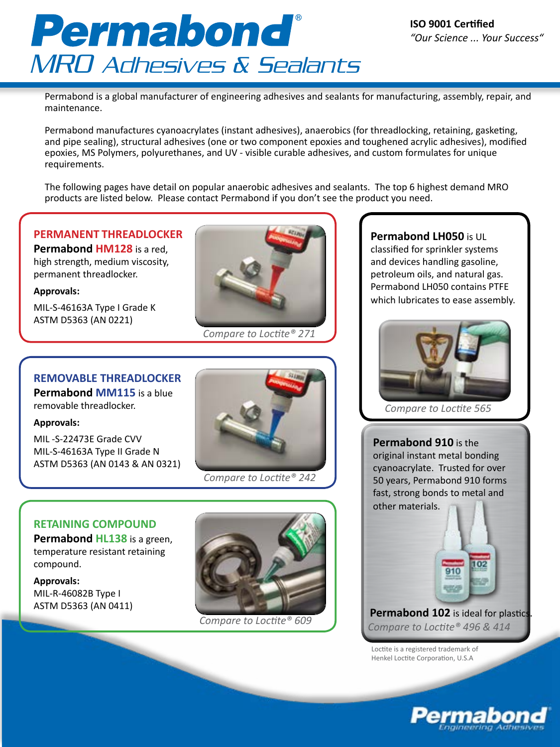# Permabond MRO Adhesives & Sealants

Permabond is a global manufacturer of engineering adhesives and sealants for manufacturing, assembly, repair, and maintenance.

Permabond manufactures cyanoacrylates (instant adhesives), anaerobics (for threadlocking, retaining, gasketing, and pipe sealing), structural adhesives (one or two component epoxies and toughened acrylic adhesives), modified epoxies, MS Polymers, polyurethanes, and UV - visible curable adhesives, and custom formulates for unique requirements.

The following pages have detail on popular anaerobic adhesives and sealants. The top 6 highest demand MRO products are listed below. Please contact Permabond if you don't see the product you need.

# **PERMANENT THREADLOCKER**

**Permabond HM128** is a red, high strength, medium viscosity, permanent threadlocker.

### **Approvals:**

MIL-S-46163A Type I Grade K ASTM D5363 (AN 0221)



*Compare to Loctite® 271*

## **REMOVABLE THREADLOCKER**

**Permabond MM115** is a blue removable threadlocker.

#### **Approvals:**

MIL -S-22473E Grade CVV MIL-S-46163A Type II Grade N ASTM D5363 (AN 0143 & AN 0321)



*Compare to Loctite® 242*

## **RETAINING COMPOUND**

**Permabond HL138** is a green, temperature resistant retaining compound.

**Approvals:** MIL-R-46082B Type I ASTM D5363 (AN 0411)



*Compare to Loctite® 609*

**Permabond LH050** is UL classified for sprinkler systems and devices handling gasoline, petroleum oils, and natural gas. Permabond LH050 contains PTFE which lubricates to ease assembly.



*Compare to Loctite 565*

**Permabond 910** is the original instant metal bonding cyanoacrylate. Trusted for over 50 years, Permabond 910 forms fast, strong bonds to metal and other materials.



Loctite is a registered trademark of Henkel Loctite Corporation, U.S.A



ЮZ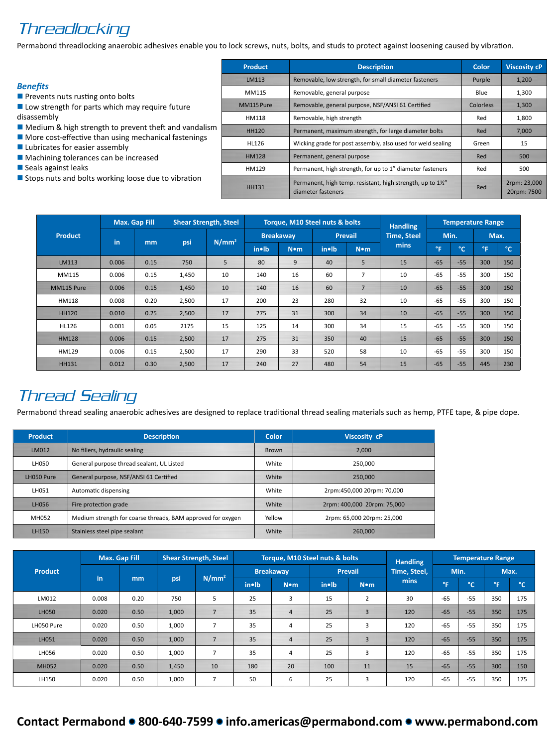# **Threadlocking**

Permabond threadlocking anaerobic adhesives enable you to lock screws, nuts, bolts, and studs to protect against loosening caused by vibration.

#### *Benefits*

- $\blacksquare$  Prevents nuts rusting onto bolts
- $\blacksquare$  Low strength for parts which may require future disassembly
- $\blacksquare$  Medium & high strength to prevent theft and vandalism
- $\blacksquare$  More cost-effective than using mechanical fastenings
- $\blacksquare$  Lubricates for easier assembly
- $\blacksquare$  Machining tolerances can be increased
- **n** Seals against leaks
- $\blacksquare$  Stops nuts and bolts working loose due to vibration

| <b>Product</b> | <b>Description</b>                                                              | Color     | <b>Viscosity cP</b>         |
|----------------|---------------------------------------------------------------------------------|-----------|-----------------------------|
| LM113          | Removable, low strength, for small diameter fasteners                           | Purple    | 1,200                       |
| MM115          | Removable, general purpose                                                      | Blue      | 1,300                       |
| MM115 Pure     | Removable, general purpose, NSF/ANSI 61 Certified                               | Colorless | 1,300                       |
| HM118          | Removable, high strength                                                        | Red       | 1,800                       |
| <b>HH120</b>   | Permanent, maximum strength, for large diameter bolts                           | Red       | 7.000                       |
| HL126          | Wicking grade for post assembly, also used for weld sealing                     | Green     | 15                          |
| <b>HM128</b>   | Permanent, general purpose                                                      | Red       | 500                         |
| HM129          | Permanent, high strength, for up to 1" diameter fasteners                       | Red       | 500                         |
| <b>HH131</b>   | Permanent, high temp. resistant, high strength, up to 1%"<br>diameter fasteners | Red       | 2rpm: 23,000<br>20rpm: 7500 |

|                |       | <b>Max. Gap Fill</b> |       | <b>Shear Strength, Steel</b> | Torque, M10 Steel nuts & bolts |                  | <b>Handling</b> |         |                    | <b>Temperature Range</b> |              |     |              |
|----------------|-------|----------------------|-------|------------------------------|--------------------------------|------------------|-----------------|---------|--------------------|--------------------------|--------------|-----|--------------|
| <b>Product</b> |       |                      |       |                              |                                | <b>Breakaway</b> |                 | Prevail | <b>Time, Steel</b> | Min.                     |              |     | Max.         |
|                | in    | mm                   | psi   | $N/mm^2$                     | in•lb                          | $N \bullet m$    | in•lb           | N•m     | mins               | l°F '                    | $^{\circ}$ C | °F  | $^{\circ}$ C |
| LM113          | 0.006 | 0.15                 | 750   | 5                            | 80                             | 9                | 40              | 5       | 15                 | $-65$                    | $-55$        | 300 | 150          |
| MM115          | 0.006 | 0.15                 | 1,450 | 10                           | 140                            | 16               | 60              | 7       | 10                 | $-65$                    | $-55$        | 300 | 150          |
| MM115 Pure     | 0.006 | 0.15                 | 1,450 | 10                           | 140                            | 16               | 60              | 7       | 10                 | $-65$                    | $-55$        | 300 | 150          |
| HM118          | 0.008 | 0.20                 | 2,500 | 17                           | 200                            | 23               | 280             | 32      | 10                 | $-65$                    | $-55$        | 300 | 150          |
| <b>HH120</b>   | 0.010 | 0.25                 | 2,500 | 17                           | 275                            | 31               | 300             | 34      | 10                 | $-65$                    | $-55$        | 300 | 150          |
| HL126          | 0.001 | 0.05                 | 2175  | 15                           | 125                            | 14               | 300             | 34      | 15                 | $-65$                    | $-55$        | 300 | 150          |
| <b>HM128</b>   | 0.006 | 0.15                 | 2,500 | 17                           | 275                            | 31               | 350             | 40      | 15                 | $-65$                    | $-55$        | 300 | 150          |
| HM129          | 0.006 | 0.15                 | 2,500 | 17                           | 290                            | 33               | 520             | 58      | 10                 | $-65$                    | $-55$        | 300 | 150          |
| <b>HH131</b>   | 0.012 | 0.30                 | 2,500 | 17                           | 240                            | 27               | 480             | 54      | 15                 | $-65$                    | $-55$        | 445 | 230          |

# Thread Sealing

Permabond thread sealing anaerobic adhesives are designed to replace traditional thread sealing materials such as hemp, PTFE tape, & pipe dope.

| <b>Product</b> | <b>Description</b>                                          | Color        | Viscosity cP                |
|----------------|-------------------------------------------------------------|--------------|-----------------------------|
| LM012          | No fillers, hydraulic sealing                               | <b>Brown</b> | 2.000                       |
| LH050          | General purpose thread sealant, UL Listed                   | White        | 250.000                     |
| LH050 Pure     | General purpose, NSF/ANSI 61 Certified                      | White        | 250.000                     |
| LH051          | Automatic dispensing                                        | White        | 2rpm:450,000 20rpm: 70,000  |
| LH056          | Fire protection grade                                       | White        | 2rpm: 400,000 20rpm: 75,000 |
| MH052          | Medium strength for coarse threads, BAM approved for oxygen | Yellow       | 2rpm: 65,000 20rpm: 25,000  |
| LH150          | Stainless steel pipe sealant                                | White        | 260,000                     |

|              |       | <b>Max. Gap Fill</b> |       | <b>Shear Strength, Steel</b> |       | Torque, M10 Steel nuts & bolts |                  |                | <b>Handling</b> |              |              | <b>Temperature Range</b> |            |      |
|--------------|-------|----------------------|-------|------------------------------|-------|--------------------------------|------------------|----------------|-----------------|--------------|--------------|--------------------------|------------|------|
| Product      |       |                      |       | N/mm <sup>2</sup><br>psi     |       |                                | <b>Breakaway</b> |                | Prevail         | Time, Steel, |              | Min.                     |            | Max. |
|              | in    | mm                   |       |                              | in•lb | N•m                            | in•lb            | N•m            | mins            | °F.          | $^{\circ}$ C | °F                       | $^{\circ}$ |      |
| LM012        | 0.008 | 0.20                 | 750   | 5                            | 25    | 3                              | 15               | $\overline{2}$ | 30              | $-65$        | $-55$        | 350                      | 175        |      |
| LH050        | 0.020 | 0.50                 | 1,000 |                              | 35    | $\overline{4}$                 | 25               | $\overline{3}$ | 120             | $-65$        | $-55$        | 350                      | 175        |      |
| LH050 Pure   | 0.020 | 0.50                 | 1,000 | 7                            | 35    | 4                              | 25               | 3              | 120             | $-65$        | $-55$        | 350                      | 175        |      |
| LH051        | 0.020 | 0.50                 | 1,000 | $\overline{7}$               | 35    | $\overline{4}$                 | 25               | 3              | 120             | $-65$        | $-55$        | 350                      | 175        |      |
| LH056        | 0.020 | 0.50                 | 1,000 |                              | 35    | 4                              | 25               | 3              | 120             | $-65$        | $-55$        | 350                      | 175        |      |
| <b>MH052</b> | 0.020 | 0.50                 | 1,450 | 10                           | 180   | 20                             | 100              | 11             | 15              | $-65$        | $-55$        | 300                      | 150        |      |
| LH150        | 0.020 | 0.50                 | 1,000 |                              | 50    | 6                              | 25               | 3              | 120             | $-65$        | $-55$        | 350                      | 175        |      |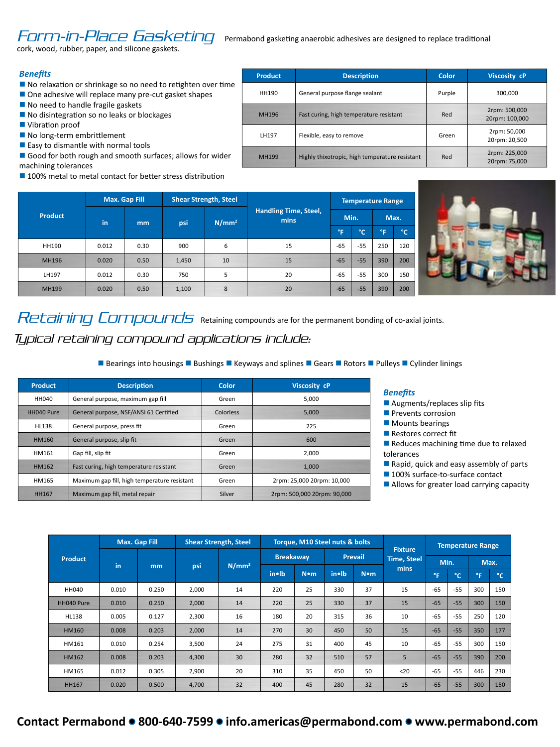# FOFTT-IN-Place Gasketing Permabond gasketing anaerobic adhesives are designed to replace traditional

cork, wood, rubber, paper, and silicone gaskets.

#### *Benefits*

- $\blacksquare$  No relaxation or shrinkage so no need to retighten over time
- $\blacksquare$  One adhesive will replace many pre-cut gasket shapes
- $\blacksquare$  No need to handle fragile gaskets
- $\blacksquare$  No disintegration so no leaks or blockages
- **N** Vibration proof
- $\blacksquare$  No long-term embrittlement
- $\blacksquare$  Easy to dismantle with normal tools
- Good for both rough and smooth surfaces; allows for wider machining tolerances
- $\blacksquare$  100% metal to metal contact for better stress distribution

| <b>Product</b> | <b>Description</b>                             | Color  | <b>Viscosity cP</b>             |
|----------------|------------------------------------------------|--------|---------------------------------|
| HH190          | General purpose flange sealant                 | Purple | 300,000                         |
| MH196          | Fast curing, high temperature resistant        | Red    | 2rpm: 500,000<br>20rpm: 100,000 |
| LH197          | Flexible, easy to remove                       | Green  | 2rpm: 50,000<br>20rpm: 20,500   |
| <b>MH199</b>   | Highly thixotropic, high temperature resistant | Red    | 2rpm: 225,000<br>20rpm: 75,000  |





Retaining Compounds Retaining compounds are for the permanent bonding of co-axial joints. Typical retaining compound applications include:

**n** Bearings into housings **n** Bushings **n** Keyways and splines **n** Gears **n** Rotors **n** Pulleys **n** Cylinder linings

| <b>Product</b> | <b>Description</b>                           | Color     | <b>Viscosity cP</b>         |
|----------------|----------------------------------------------|-----------|-----------------------------|
| HH040          | General purpose, maximum gap fill            |           | 5.000                       |
| HH040 Pure     | General purpose, NSF/ANSI 61 Certified       | Colorless | 5.000                       |
| HL138          | General purpose, press fit                   | Green     | 225                         |
| <b>HM160</b>   | General purpose, slip fit                    | Green     | 600                         |
| HM161          | Gap fill, slip fit                           | Green     | 2.000                       |
| HM162          | Fast curing, high temperature resistant      | Green     | 1.000                       |
| HM165          | Maximum gap fill, high temperature resistant | Green     | 2rpm: 25,000 20rpm: 10,000  |
| <b>HH167</b>   | Maximum gap fill, metal repair               | Silver    | 2rpm: 500,000 20rpm: 90,000 |

#### *Benefits*

- $\blacksquare$  Augments/replaces slip fits
- $\blacksquare$  Prevents corrosion
- $\blacksquare$  Mounts bearings
- $\blacksquare$  Restores correct fit
- $\blacksquare$  Reduces machining time due to relaxed tolerances
- $\blacksquare$  Rapid, quick and easy assembly of parts
	- $\blacksquare$  100% surface-to-surface contact
	- $\blacksquare$  Allows for greater load carrying capacity

|                |       | <b>Max. Gap Fill</b> |       | <b>Shear Strength, Steel</b> |                  | Torque, M10 Steel nuts & bolts |                |               | <b>Fixture</b>     | <b>Temperature Range</b> |       |            |           |
|----------------|-------|----------------------|-------|------------------------------|------------------|--------------------------------|----------------|---------------|--------------------|--------------------------|-------|------------|-----------|
| <b>Product</b> |       |                      |       |                              | <b>Breakaway</b> |                                | <b>Prevail</b> |               | <b>Time, Steel</b> | Min.                     |       | Max.       |           |
|                | in    | m <sub>m</sub>       | psi   | N/mm <sup>2</sup>            | in•lb            | $N \cdot m$                    | in•lb          | $N \bullet m$ | mins               | °F                       | °C    | <b>L°F</b> | <b>PC</b> |
| HH040          | 0.010 | 0.250                | 2,000 | 14                           | 220              | 25                             | 330            | 37            | 15                 | $-65$                    | $-55$ | 300        | 150       |
| HH040 Pure     | 0.010 | 0.250                | 2,000 | 14                           | 220              | 25                             | 330            | 37            | 15                 | $-65$                    | $-55$ | 300        | 150       |
| HL138          | 0.005 | 0.127                | 2,300 | 16                           | 180              | 20                             | 315            | 36            | 10                 | $-65$                    | $-55$ | 250        | 120       |
| <b>HM160</b>   | 0.008 | 0.203                | 2,000 | 14                           | 270              | 30                             | 450            | 50            | 15                 | $-65$                    | $-55$ | 350        | 177       |
| HM161          | 0.010 | 0.254                | 3,500 | 24                           | 275              | 31                             | 400            | 45            | 10                 | $-65$                    | $-55$ | 300        | 150       |
| HM162          | 0.008 | 0.203                | 4,300 | 30                           | 280              | 32                             | 510            | 57            | 5                  | $-65$                    | $-55$ | 390        | 200       |
| HM165          | 0.012 | 0.305                | 2,900 | 20                           | 310              | 35                             | 450            | 50            | $20$               | $-65$                    | $-55$ | 446        | 230       |
| <b>HH167</b>   | 0.020 | 0.500                | 4,700 | 32                           | 400              | 45                             | 280            | 32            | 15                 | $-65$                    | $-55$ | 300        | 150       |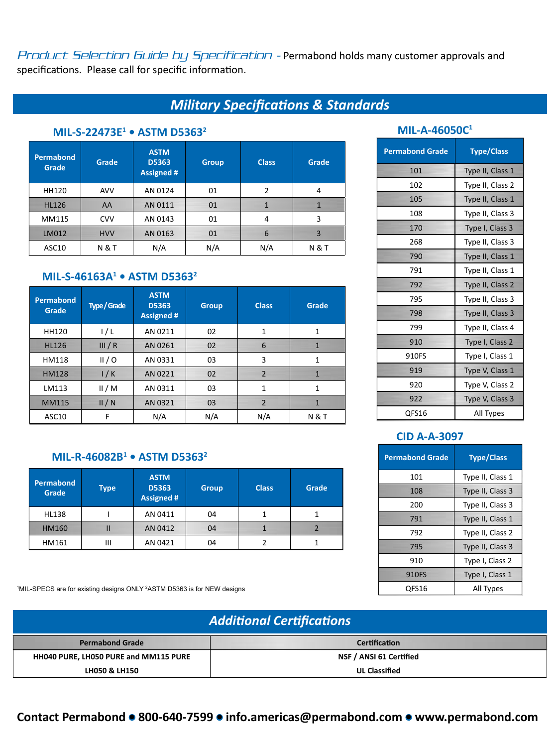Product Selection Guide by Specification - Permabond holds many customer approvals and specifications. Please call for specific information.

# *Military Specifications & Standards*

# **MIL-S-22473E1 • ASTM D53632**

| Permabond<br>Grade | Grade          | <b>ASTM</b><br>D5363<br><b>Assigned #</b> | <b>Group</b> | <b>Class</b> | Grade          |
|--------------------|----------------|-------------------------------------------|--------------|--------------|----------------|
| <b>HH120</b>       | <b>AVV</b>     | AN 0124                                   | 01           | 2            | 4              |
| <b>HL126</b>       | AA             | AN 0111                                   | 01           | $\mathbf{1}$ | 1              |
| MM115              | <b>CVV</b>     | AN 0143                                   | 01           | 4            | 3              |
| LM012              | <b>HVV</b>     | AN 0163                                   | 01           | 6            | 3              |
| ASC10              | <b>N&amp;T</b> | N/A                                       | N/A          | N/A          | <b>N&amp;T</b> |

### **MIL-S-46163A1 • ASTM D53632**

| <b>Permabond</b><br>Grade | <b>Type / Grade</b> | <b>ASTM</b><br><b>D5363</b><br>Assigned # | <b>Group</b> | <b>Class</b>   | Grade          |
|---------------------------|---------------------|-------------------------------------------|--------------|----------------|----------------|
| <b>HH120</b>              | 1/L                 | AN 0211                                   | 02           | 1              | 1              |
| <b>HL126</b>              | III/R               | AN 0261                                   | 02           | 6              | 1              |
| HM118                     | II/O                | AN 0331                                   | 03           | 3              | 1              |
| <b>HM128</b>              | 1/K                 | AN 0221                                   | 02           | 2              | $\mathbf{1}$   |
| LM113                     | II/M                | AN 0311                                   | 03           | $\mathbf{1}$   | 1              |
| <b>MM115</b>              | II/N                | AN 0321                                   | 03           | $\overline{2}$ | 1              |
| ASC10                     | F                   | N/A                                       | N/A          | N/A            | <b>N&amp;T</b> |

# **MIL-R-46082B1 • ASTM D53632**

| Permabond<br><b>Grade</b> | <b>Type</b> | <b>ASTM</b><br>D5363<br><b>Assigned #</b> | <b>Group</b> | <b>Class</b> | Grade |
|---------------------------|-------------|-------------------------------------------|--------------|--------------|-------|
| <b>HL138</b>              |             | AN 0411                                   | 04           |              |       |
| <b>HM160</b>              | П           | AN 0412                                   | 04           |              |       |
| HM161                     | Ш           | AN 0421                                   | 04           |              |       |

1MIL-SPECS are for existing designs ONLY <sup>2</sup>ASTM D5363 is for NEW designs the state of the state of the state of the property of the state of the state of the state of the All Types

# **MIL-A-46050C1**

| <b>Permabond Grade</b> | <b>Type/Class</b> |
|------------------------|-------------------|
| 101                    | Type II, Class 1  |
| 102                    | Type II, Class 2  |
| 105                    | Type II, Class 1  |
| 108                    | Type II, Class 3  |
| 170                    | Type I, Class 3   |
| 268                    | Type II, Class 3  |
| 790                    | Type II, Class 1  |
| 791                    | Type II, Class 1  |
| 792                    | Type II, Class 2  |
| 795                    | Type II, Class 3  |
| 798                    | Type II, Class 3  |
| 799                    | Type II, Class 4  |
| 910                    | Type I, Class 2   |
| 910FS                  | Type I, Class 1   |
| 919                    | Type V, Class 1   |
| 920                    | Type V, Class 2   |
| 922                    | Type V, Class 3   |
| QFS16                  | All Types         |

### **CID A-A-3097**

| <b>Permabond Grade</b> | <b>Type/Class</b> |
|------------------------|-------------------|
| 101                    | Type II, Class 1  |
| 108                    | Type II, Class 3  |
| 200                    | Type II, Class 3  |
| 791                    | Type II, Class 1  |
| 792                    | Type II, Class 2  |
| 795                    | Type II, Class 3  |
| 910                    | Type I, Class 2   |
| 910FS                  | Type I, Class 1   |
| OFS16                  | All Types         |

| <b>Additional Certifications</b>      |                         |
|---------------------------------------|-------------------------|
| <b>Permabond Grade</b>                | <b>Certification</b>    |
| HH040 PURE, LH050 PURE and MM115 PURE | NSF / ANSI 61 Certified |
| <b>LH050 &amp; LH150</b>              | <b>UL Classified</b>    |